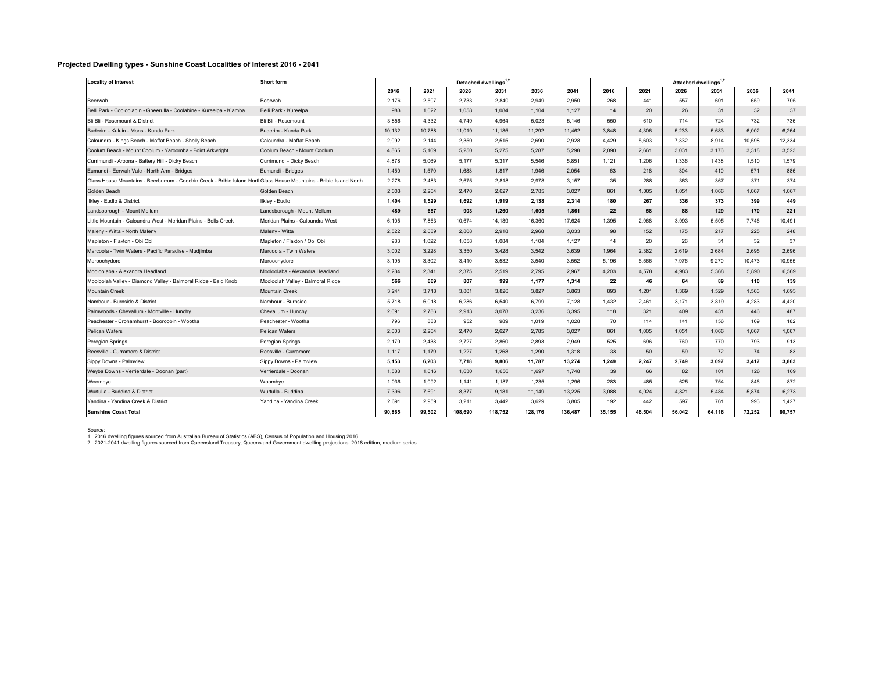## **Projected Dwelling types - Sunshine Coast Localities of Interest 2016 - 2041**

| <b>Locality of Interest</b>                                                                                          | Short form                        | Detached dwellings <sup>1,2</sup> |        |         |         |         |         | Attached dwellings <sup>1,2</sup> |        |        |        |        |        |
|----------------------------------------------------------------------------------------------------------------------|-----------------------------------|-----------------------------------|--------|---------|---------|---------|---------|-----------------------------------|--------|--------|--------|--------|--------|
|                                                                                                                      |                                   | 2016                              | 2021   | 2026    | 2031    | 2036    | 2041    | 2016                              | 2021   | 2026   | 2031   | 2036   | 2041   |
| Beerwah                                                                                                              | Beerwah                           | 2,176                             | 2.507  | 2,733   | 2,840   | 2,949   | 2,950   | 268                               | 441    | 557    | 601    | 659    | 705    |
| Belli Park - Cooloolabin - Gheerulla - Coolabine - Kureelpa - Kiamba                                                 | Belli Park - Kureelpa             | 983                               | 1.022  | 1,058   | 1.084   | 1.104   | 1,127   | 14                                | 20     | 26     | 31     | 32     | 37     |
| Bli Bli - Rosemount & District                                                                                       | Bli Bli - Rosemount               | 3,856                             | 4.332  | 4,749   | 4.964   | 5.023   | 5,146   | 550                               | 610    | 714    | 724    | 732    | 736    |
| Buderim - Kuluin - Mons - Kunda Park                                                                                 | Buderim - Kunda Park              | 10,132                            | 10,788 | 11,019  | 11,185  | 11,292  | 11,462  | 3,848                             | 4,306  | 5,233  | 5,683  | 6,002  | 6,264  |
| Caloundra - Kings Beach - Moffat Beach - Shelly Beach                                                                | Caloundra - Moffat Beach          | 2,092                             | 2,144  | 2,350   | 2,515   | 2,690   | 2,928   | 4,429                             | 5,603  | 7,332  | 8,914  | 10,598 | 12,334 |
| Coolum Beach - Mount Coolum - Yaroomba - Point Arkwright                                                             | Coolum Beach - Mount Coolum       | 4,865                             | 5.169  | 5,250   | 5.275   | 5.287   | 5.298   | 2,090                             | 2.661  | 3,031  | 3,176  | 3.318  | 3.523  |
| Currimundi - Aroona - Battery Hill - Dicky Beach                                                                     | Currimundi - Dicky Beach          | 4,878                             | 5,069  | 5,177   | 5,317   | 5,546   | 5,851   | 1,121                             | 1,206  | 1,336  | 1,438  | 1,510  | 1.579  |
| Eumundi - Eerwah Vale - North Arm - Bridges                                                                          | Eumundi - Bridges                 | 1,450                             | 1.570  | 1,683   | 1.817   | 1.946   | 2,054   | 63                                | 218    | 304    | 410    | 571    | 886    |
| Glass House Mountains - Beerburrum - Coochin Creek - Bribie Island Nortl Glass House Mountains - Bribie Island North |                                   | 2,278                             | 2.483  | 2.675   | 2.818   | 2.978   | 3,157   | 35                                | 288    | 363    | 367    | 371    | 374    |
| Golden Beach                                                                                                         | Golden Beach                      | 2.003                             | 2.264  | 2.470   | 2.627   | 2.785   | 3.027   | 861                               | 1.005  | 1.051  | 1.066  | 1.067  | 1.067  |
| Ikley - Eudlo & District                                                                                             | Ilkley - Eudlo                    | 1,404                             | 1,529  | 1,692   | 1,919   | 2,138   | 2,314   | 180                               | 267    | 336    | 373    | 399    | 449    |
| Landsborough - Mount Mellum                                                                                          | Landsborough - Mount Mellum       | 489                               | 657    | 903     | 1,260   | 1.605   | 1,861   | 22                                | 58     | 88     | 129    | 170    | 221    |
| Little Mountain - Caloundra West - Meridan Plains - Bells Creek                                                      | Meridan Plains - Caloundra West   | 6,105                             | 7.863  | 10.674  | 14,189  | 16,360  | 17.624  | 1.395                             | 2.968  | 3.993  | 5.505  | 7.746  | 10.491 |
| Maleny - Witta - North Maleny                                                                                        | Maleny - Witta                    | 2,522                             | 2,689  | 2,808   | 2,918   | 2,968   | 3,033   | 98                                | 152    | 175    | 217    | 225    | 248    |
| Mapleton - Flaxton - Obi Obi                                                                                         | Mapleton / Flaxton / Obi Obi      | 983                               | 1,022  | 1,058   | 1,084   | 1,104   | 1,127   | 14                                | 20     | 26     | 31     | 32     | 37     |
| Marcoola - Twin Waters - Pacific Paradise - Mudjimba                                                                 | Marcoola - Twin Waters            | 3,002                             | 3,228  | 3,350   | 3.428   | 3.542   | 3,639   | 1,964                             | 2,382  | 2,619  | 2.684  | 2.695  | 2.696  |
| Maroochydore                                                                                                         | Maroochydore                      | 3.195                             | 3.302  | 3.410   | 3.532   | 3.540   | 3.552   | 5.196                             | 6.566  | 7.976  | 9.270  | 10.473 | 10.955 |
| Mooloolaba - Alexandra Headland                                                                                      | Mooloolaba - Alexandra Headland   | 2,284                             | 2,341  | 2,375   | 2,519   | 2,795   | 2,967   | 4,203                             | 4,578  | 4,983  | 5,368  | 5.890  | 6.569  |
| Mooloolah Valley - Diamond Valley - Balmoral Ridge - Bald Knob                                                       | Mooloolah Valley - Balmoral Ridge | 566                               | 669    | 807     | 999     | 1.177   | 1.314   | 22                                | 46     | 64     | 89     | 110    | 139    |
| <b>Mountain Creek</b>                                                                                                | <b>Mountain Creek</b>             | 3.241                             | 3.718  | 3.801   | 3.826   | 3.827   | 3.863   | 893                               | 1.201  | 1.369  | 1.529  | 1.563  | 1.693  |
| Nambour - Burnside & District                                                                                        | Nambour - Burnside                | 5,718                             | 6,018  | 6,286   | 6,540   | 6,799   | 7,128   | 1,432                             | 2,461  | 3,171  | 3,819  | 4,283  | 4,420  |
| Palmwoods - Chevallum - Montville - Hunchy                                                                           | Chevallum - Hunchy                | 2,691                             | 2,786  | 2,913   | 3,078   | 3,236   | 3,395   | 118                               | 321    | 409    | 431    | 446    | 487    |
| Peachester - Crohamhurst - Booroobin - Wootha                                                                        | Peachester - Wootha               | 796                               | 888    | 952     | 989     | 1.019   | 1.028   | 70                                | 114    | 141    | 156    | 169    | 182    |
| Pelican Waters                                                                                                       | Pelican Waters                    | 2,003                             | 2,264  | 2,470   | 2,627   | 2,785   | 3,027   | 861                               | 1,005  | 1,051  | 1,066  | 1,067  | 1,067  |
| Peregian Springs                                                                                                     | Peregian Springs                  | 2,170                             | 2,438  | 2,727   | 2,860   | 2,893   | 2,949   | 525                               | 696    | 760    | 770    | 793    | 913    |
| Reesville - Curramore & District                                                                                     | Reesville - Curramore             | 1,117                             | 1.179  | 1.227   | 1.268   | 1.290   | 1,318   | 33                                | 50     | 59     | 72     | 74     | 83     |
| Sippy Downs - Palmview                                                                                               | Sippy Downs - Palmview            | 5.153                             | 6.203  | 7.718   | 9.806   | 11,787  | 13.274  | 1.249                             | 2.247  | 2.749  | 3.097  | 3.417  | 3.863  |
| Weyba Downs - Verrierdale - Doonan (part)                                                                            | Verrierdale - Doonan              | 1,588                             | 1,616  | 1,630   | 1,656   | 1,697   | 1,748   | 39                                | 66     | 82     | 101    | 126    | 169    |
| Woombye                                                                                                              | Woombye                           | 1.036                             | 1.092  | 1.141   | 1.187   | 1.235   | 1.296   | 283                               | 485    | 625    | 754    | 846    | 872    |
| Wurtulla - Buddina & District                                                                                        | Wurtulla - Buddina                | 7.396                             | 7.691  | 8.377   | 9.181   | 11.149  | 13.225  | 3.088                             | 4.024  | 4.821  | 5.484  | 5.874  | 6.273  |
| Yandina - Yandina Creek & District                                                                                   | Yandina - Yandina Creek           | 2,691                             | 2,959  | 3,211   | 3,442   | 3,629   | 3,805   | 192                               | 442    | 597    | 761    | 993    | 1,427  |
| <b>Sunshine Coast Total</b>                                                                                          |                                   | 90.865                            | 99.502 | 108.690 | 118.752 | 128.176 | 136.487 | 35.155                            | 46.504 | 56.042 | 64.116 | 72.252 | 80,757 |

Source:<br>1. 2016 dwelling figures sourced from Australian Bureau of Statistics (ABS), Census of Population and Housing 2016<br>2. 2021-2041 dwelling figures sourced from Queensland Treasury, Queensland Government dwelling proj